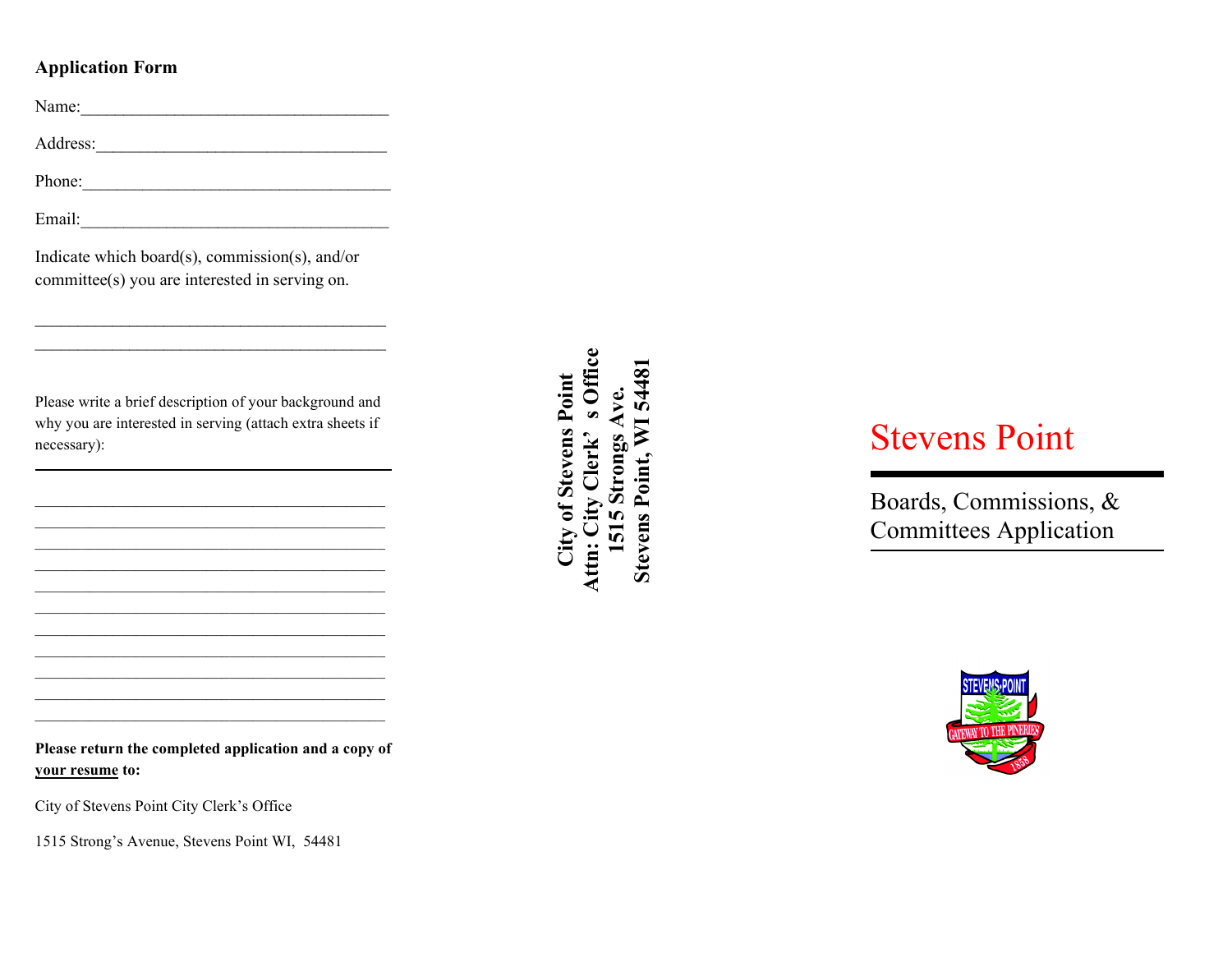## **Application Form**

Name:\_\_\_\_\_\_\_\_\_\_\_\_\_\_\_\_\_\_\_\_\_\_\_\_\_\_\_\_\_\_\_\_\_\_\_\_

Address:\_\_\_\_\_\_\_\_\_\_\_\_\_\_\_\_\_\_\_\_\_\_\_\_\_\_\_\_\_\_\_\_\_\_

Phone:

Email:

Indicate which board(s), commission(s), and/or committee(s) you are interested in serving on.

 $\mathcal{L}_\text{max}$  , where  $\mathcal{L}_\text{max}$  and  $\mathcal{L}_\text{max}$  and  $\mathcal{L}_\text{max}$  $\mathcal{L}_\text{max}$  , and the contract of the contract of the contract of the contract of the contract of the contract of the contract of the contract of the contract of the contract of the contract of the contract of the contr

Please write a brief description of your background and why you are interested in serving (attach extra sheets if necessary):

 $\mathcal{L}_\text{max}$  and  $\mathcal{L}_\text{max}$  and  $\mathcal{L}_\text{max}$  and  $\mathcal{L}_\text{max}$  and  $\mathcal{L}_\text{max}$  $\mathcal{L}_\text{max}$  and  $\mathcal{L}_\text{max}$  and  $\mathcal{L}_\text{max}$  and  $\mathcal{L}_\text{max}$  and  $\mathcal{L}_\text{max}$  $\mathcal{L}_\mathcal{L} = \{ \mathcal{L}_\mathcal{L} = \{ \mathcal{L}_\mathcal{L} = \{ \mathcal{L}_\mathcal{L} = \{ \mathcal{L}_\mathcal{L} = \{ \mathcal{L}_\mathcal{L} = \{ \mathcal{L}_\mathcal{L} = \{ \mathcal{L}_\mathcal{L} = \{ \mathcal{L}_\mathcal{L} = \{ \mathcal{L}_\mathcal{L} = \{ \mathcal{L}_\mathcal{L} = \{ \mathcal{L}_\mathcal{L} = \{ \mathcal{L}_\mathcal{L} = \{ \mathcal{L}_\mathcal{L} = \{ \mathcal{L}_\mathcal{$  $\mathcal{L}_\mathcal{L} = \{ \mathcal{L}_\mathcal{L} = \{ \mathcal{L}_\mathcal{L} = \{ \mathcal{L}_\mathcal{L} = \{ \mathcal{L}_\mathcal{L} = \{ \mathcal{L}_\mathcal{L} = \{ \mathcal{L}_\mathcal{L} = \{ \mathcal{L}_\mathcal{L} = \{ \mathcal{L}_\mathcal{L} = \{ \mathcal{L}_\mathcal{L} = \{ \mathcal{L}_\mathcal{L} = \{ \mathcal{L}_\mathcal{L} = \{ \mathcal{L}_\mathcal{L} = \{ \mathcal{L}_\mathcal{L} = \{ \mathcal{L}_\mathcal{$  $\mathcal{L}_\mathcal{L} = \{ \mathcal{L}_\mathcal{L} = \{ \mathcal{L}_\mathcal{L} = \{ \mathcal{L}_\mathcal{L} = \{ \mathcal{L}_\mathcal{L} = \{ \mathcal{L}_\mathcal{L} = \{ \mathcal{L}_\mathcal{L} = \{ \mathcal{L}_\mathcal{L} = \{ \mathcal{L}_\mathcal{L} = \{ \mathcal{L}_\mathcal{L} = \{ \mathcal{L}_\mathcal{L} = \{ \mathcal{L}_\mathcal{L} = \{ \mathcal{L}_\mathcal{L} = \{ \mathcal{L}_\mathcal{L} = \{ \mathcal{L}_\mathcal{$  $\mathcal{L}_\text{max}$  and  $\mathcal{L}_\text{max}$  and  $\mathcal{L}_\text{max}$  and  $\mathcal{L}_\text{max}$  and  $\mathcal{L}_\text{max}$  $\mathcal{L}_\text{max}$  and  $\mathcal{L}_\text{max}$  and  $\mathcal{L}_\text{max}$  and  $\mathcal{L}_\text{max}$  and  $\mathcal{L}_\text{max}$  $\mathcal{L}_\mathcal{L} = \{ \mathcal{L}_\mathcal{L} = \{ \mathcal{L}_\mathcal{L} = \{ \mathcal{L}_\mathcal{L} = \{ \mathcal{L}_\mathcal{L} = \{ \mathcal{L}_\mathcal{L} = \{ \mathcal{L}_\mathcal{L} = \{ \mathcal{L}_\mathcal{L} = \{ \mathcal{L}_\mathcal{L} = \{ \mathcal{L}_\mathcal{L} = \{ \mathcal{L}_\mathcal{L} = \{ \mathcal{L}_\mathcal{L} = \{ \mathcal{L}_\mathcal{L} = \{ \mathcal{L}_\mathcal{L} = \{ \mathcal{L}_\mathcal{$ 

\_\_\_\_\_\_\_\_\_\_\_\_\_\_\_\_\_\_\_\_\_\_\_\_\_\_\_\_\_\_\_\_\_\_\_\_\_\_\_\_\_\_\_\_\_  $\mathcal{L}_\mathcal{L} = \{ \mathcal{L}_\mathcal{L} = \{ \mathcal{L}_\mathcal{L} = \{ \mathcal{L}_\mathcal{L} = \{ \mathcal{L}_\mathcal{L} = \{ \mathcal{L}_\mathcal{L} = \{ \mathcal{L}_\mathcal{L} = \{ \mathcal{L}_\mathcal{L} = \{ \mathcal{L}_\mathcal{L} = \{ \mathcal{L}_\mathcal{L} = \{ \mathcal{L}_\mathcal{L} = \{ \mathcal{L}_\mathcal{L} = \{ \mathcal{L}_\mathcal{L} = \{ \mathcal{L}_\mathcal{L} = \{ \mathcal{L}_\mathcal{$ 

Office **Attn: City Clerk' s Office** Stevens Point, WI 54481 **Stevens Point, WI 54481 City of Stevens Point City of Stevens Point** 1515 Strongs Ave. **1515 Strongs Ave.**  $Clerk'$ Attn: City

# Stevens Point

Boards, Commissions, & Committees Application



**your resume to:**

**Please return the completed application and a copy of** 

City of Stevens Point City Clerk's Office

1515 Strong's Avenue, Stevens Point WI, 54481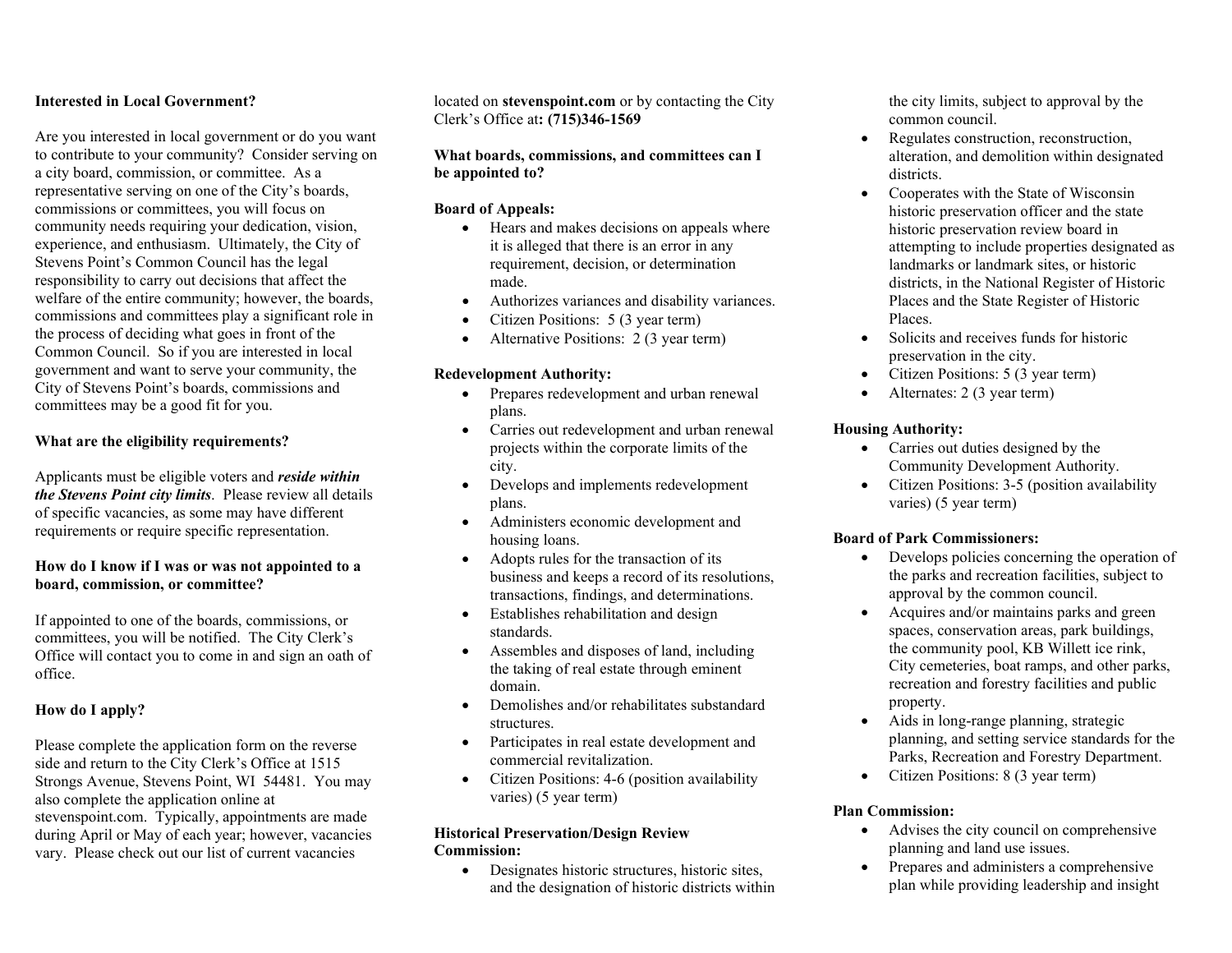## **Interested in Local Government?**

Are you interested in local government or do you want to contribute to your community? Consider serving on a city board, commission, or committee. As a representative serving on one of the City's boards, commissions or committees, you will focus on community needs requiring your dedication, vision, experience, and enthusiasm. Ultimately, the City of Stevens Point's Common Council has the legal responsibility to carry out decisions that affect the welfare of the entire community; however, the boards, commissions and committees play a significant role in the process of deciding what goes in front of the Common Council. So if you are interested in local government and want to serve your community, the City of Stevens Point's boards, commissions and committees may be a good fit for you.

## **What are the eligibility requirements?**

Applicants must be eligible voters and *reside within the Stevens Point city limits*. Please review all details of specific vacancies, as some may have different requirements or require specific representation.

#### **How do I know if I was or was not appointed to a board, commission, or committee?**

If appointed to one of the boards, commissions, or committees, you will be notified. The City Clerk's Office will contact you to come in and sign an oath of office.

## **How do I apply?**

Please complete the application form on the reverse side and return to the City Clerk's Office at 1515 Strongs Avenue, Stevens Point, WI 54481. You may also complete the application online at stevenspoint.com. Typically, appointments are made during April or May of each year; however, vacancies vary. Please check out our list of current vacancies

located on **stevenspoint.com** or by contacting the City Clerk's Office at**: (715)346-1569**

#### **What boards, commissions, and committees can I be appointed to?**

#### **Board of Appeals:**

- Hears and makes decisions on appeals where it is alleged that there is an error in any requirement, decision, or determination made.
- Authorizes variances and disability variances.
- Citizen Positions: 5 (3 year term)
- Alternative Positions: 2 (3 year term)

#### **Redevelopment Authority:**

- Prepares redevelopment and urban renewal plans.
- Carries out redevelopment and urban renewal projects within the corporate limits of the city.
- Develops and implements redevelopment plans.
- Administers economic development and housing loans.
- Adopts rules for the transaction of its business and keeps a record of its resolutions, transactions, findings, and determinations.
- Establishes rehabilitation and design standards.
- Assembles and disposes of land, including the taking of real estate through eminent domain.
- Demolishes and/or rehabilitates substandard structures.
- Participates in real estate development and commercial revitalization.
- Citizen Positions: 4-6 (position availability varies) (5 year term)

#### **Historical Preservation/Design Review Commission:**

• Designates historic structures, historic sites, and the designation of historic districts within the city limits, subject to approval by the common council.

- Regulates construction, reconstruction, alteration, and demolition within designated districts.
- Cooperates with the State of Wisconsin historic preservation officer and the state historic preservation review board in attempting to include properties designated as landmarks or landmark sites, or historic districts, in the National Register of Historic Places and the State Register of Historic Places.
- Solicits and receives funds for historic preservation in the city.
- Citizen Positions: 5 (3 year term)
- Alternates: 2 (3 year term)

#### **Housing Authority:**

- Carries out duties designed by the Community Development Authority.
- Citizen Positions: 3-5 (position availability varies) (5 year term)

#### **Board of Park Commissioners:**

- Develops policies concerning the operation of the parks and recreation facilities, subject to approval by the common council.
- Acquires and/or maintains parks and green spaces, conservation areas, park buildings, the community pool, KB Willett ice rink, City cemeteries, boat ramps, and other parks, recreation and forestry facilities and public property.
- Aids in long-range planning, strategic planning, and setting service standards for the Parks, Recreation and Forestry Department.
- Citizen Positions: 8 (3 year term)

## **Plan Commission:**

- Advises the city council on comprehensive planning and land use issues.
- Prepares and administers a comprehensive plan while providing leadership and insight